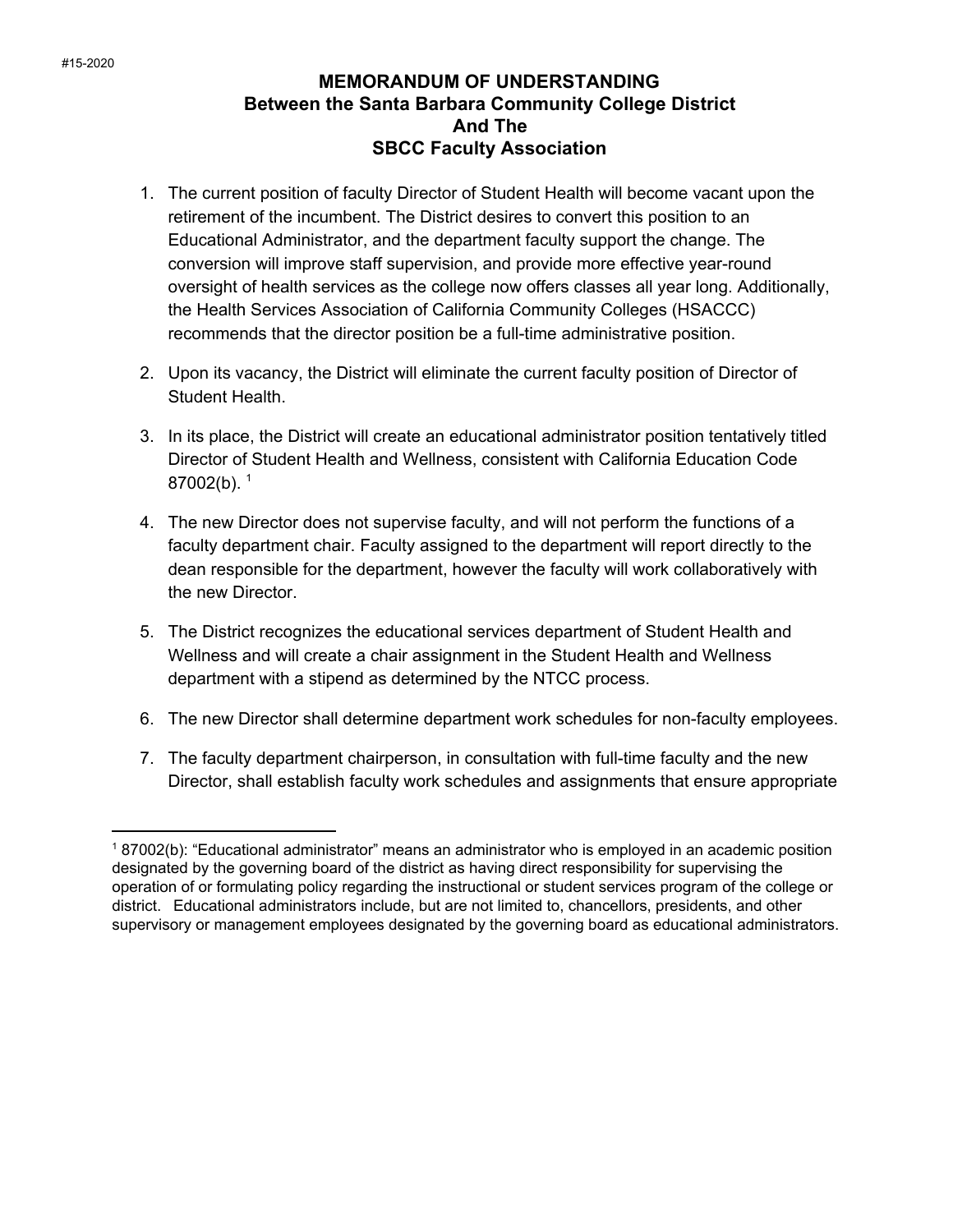## **MEMORANDUM OF UNDERSTANDING Between the Santa Barbara Community College District And The SBCC Faculty Association**

- 1. The current position of faculty Director of Student Health will become vacant upon the retirement of the incumbent. The District desires to convert this position to an Educational Administrator, and the department faculty support the change. The conversion will improve staff supervision, and provide more effective year-round oversight of health services as the college now offers classes all year long. Additionally, the Health Services Association of California Community Colleges (HSACCC) recommends that the director position be a full-time administrative position.
- 2. Upon its vacancy, the District will eliminate the current faculty position of Director of Student Health.
- 3. In its place, the District will create an educational administrator position tentatively titled Director of Student Health and Wellness, consistent with California Education Code  $87002(b).$ <sup>1</sup>
- 4. The new Director does not supervise faculty, and will not perform the functions of a faculty department chair. Faculty assigned to the department will report directly to the dean responsible for the department, however the faculty will work collaboratively with the new Director.
- 5. The District recognizes the educational services department of Student Health and Wellness and will create a chair assignment in the Student Health and Wellness department with a stipend as determined by the NTCC process.
- 6. The new Director shall determine department work schedules for non-faculty employees.
- 7. The faculty department chairperson, in consultation with full-time faculty and the new Director, shall establish faculty work schedules and assignments that ensure appropriate

<sup>1</sup> 87002(b): "Educational administrator" means an administrator who is employed in an academic position designated by the governing board of the district as having direct responsibility for supervising the operation of or formulating policy regarding the instructional or student services program of the college or district. Educational administrators include, but are not limited to, chancellors, presidents, and other supervisory or management employees designated by the governing board as educational administrators.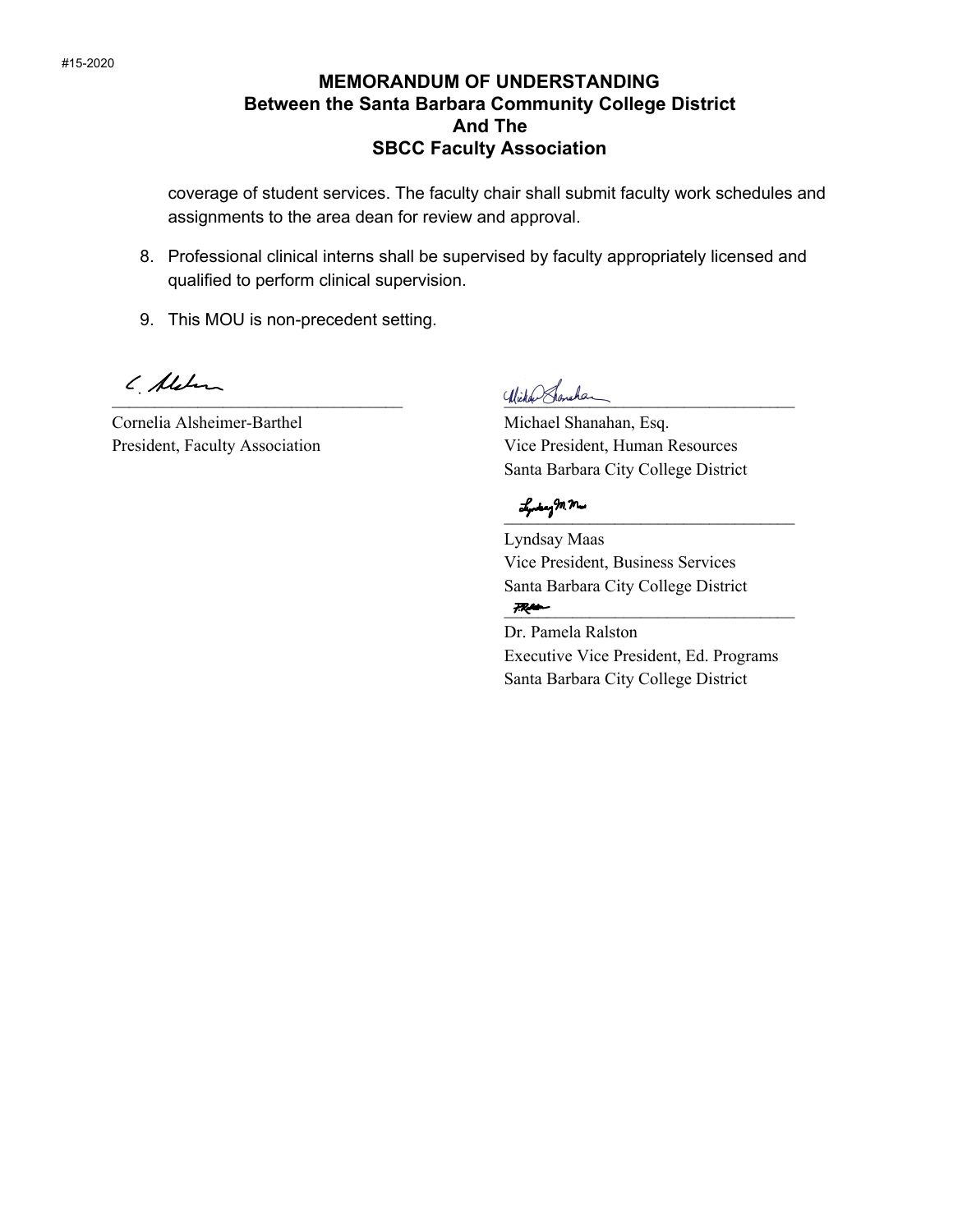## **MEMORANDUM OF UNDERSTANDING Between the Santa Barbara Community College District And The SBCC Faculty Association**

coverage of student services. The faculty chair shall submit faculty work schedules and assignments to the area dean for review and approval.

- 8. Professional clinical interns shall be supervised by faculty appropriately licensed and qualified to perform clinical supervision.
- 9. This MOU is non-precedent setting.

( Alehan

Cornelia Alsheimer-Barthel Michael Shanahan, Esq.

Wichen Honchan

President, Faculty Association Vice President, Human Resources Santa Barbara City College District

 $\mathcal{L}_p$  by  $\mathcal{M}, \mathcal{M}$ 

Lyndsay Maas Vice President, Business Services Santa Barbara City College District  $7 - 2$ 

Dr. Pamela Ralston Executive Vice President, Ed. Programs Santa Barbara City College District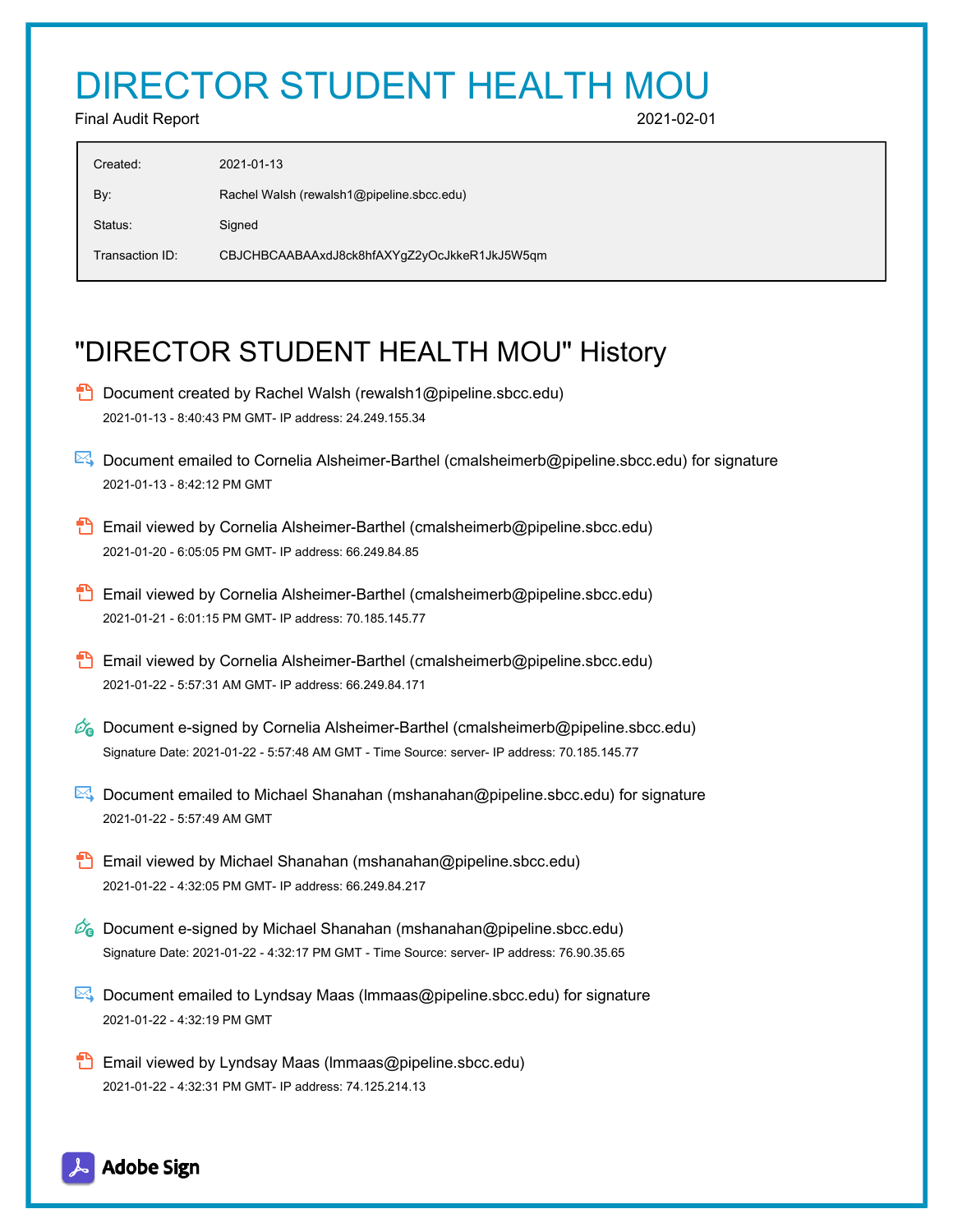## DIRECTOR STUDENT HEALTH MOU

Final Audit Report 2021-02-01

| Created:        | 2021-01-13                                   |
|-----------------|----------------------------------------------|
| By:             | Rachel Walsh (rewalsh1@pipeline.sbcc.edu)    |
| Status:         | Signed                                       |
| Transaction ID: | CBJCHBCAABAAxdJ8ck8hfAXYgZ2yOcJkkeR1JkJ5W5qm |
|                 |                                              |

## "DIRECTOR STUDENT HEALTH MOU" History

- **D** Document created by Rachel Walsh (rewalsh1@pipeline.sbcc.edu) 2021-01-13 - 8:40:43 PM GMT- IP address: 24.249.155.34
- Document emailed to Cornelia Alsheimer-Barthel (cmalsheimerb@pipeline.sbcc.edu) for signature 2021-01-13 - 8:42:12 PM GMT
- **Email viewed by Cornelia Alsheimer-Barthel (cmalsheimerb@pipeline.sbcc.edu)** 2021-01-20 - 6:05:05 PM GMT- IP address: 66.249.84.85
- **Email viewed by Cornelia Alsheimer-Barthel (cmalsheimerb@pipeline.sbcc.edu)** 2021-01-21 - 6:01:15 PM GMT- IP address: 70.185.145.77
- **B** Email viewed by Cornelia Alsheimer-Barthel (cmalsheimerb@pipeline.sbcc.edu) 2021-01-22 - 5:57:31 AM GMT- IP address: 66.249.84.171
- $\mathbb{Z}_6$  Document e-signed by Cornelia Alsheimer-Barthel (cmalsheimerb@pipeline.sbcc.edu) Signature Date: 2021-01-22 - 5:57:48 AM GMT - Time Source: server- IP address: 70.185.145.77
- Document emailed to Michael Shanahan (mshanahan@pipeline.sbcc.edu) for signature 2021-01-22 - 5:57:49 AM GMT
- **Email viewed by Michael Shanahan (mshanahan@pipeline.sbcc.edu)** 2021-01-22 - 4:32:05 PM GMT- IP address: 66.249.84.217
- $\mathcal{O}_0$  Document e-signed by Michael Shanahan (mshanahan@pipeline.sbcc.edu) Signature Date: 2021-01-22 - 4:32:17 PM GMT - Time Source: server- IP address: 76.90.35.65
- $\mathbb{R}$  Document emailed to Lyndsay Maas (Immaas@pipeline.sbcc.edu) for signature 2021-01-22 - 4:32:19 PM GMT
- **Email viewed by Lyndsay Maas (Immaas@pipeline.sbcc.edu)** 2021-01-22 - 4:32:31 PM GMT- IP address: 74.125.214.13